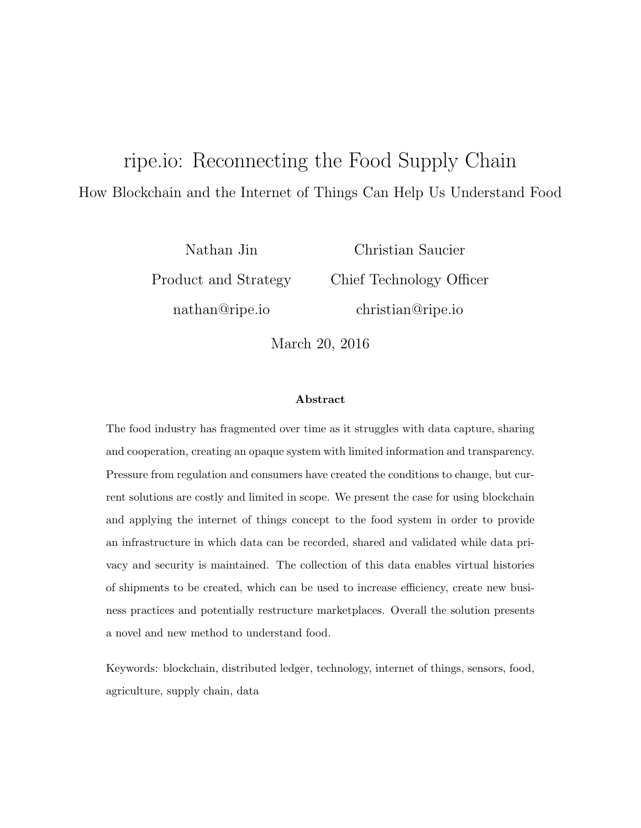# ripe.io: Reconnecting the Food Supply Chain How Blockchain and the Internet of Things Can Help Us Understand Food

Nathan Jin Product and Strategy nathan@ripe.io

Christian Saucier Chief Technology Officer christian@ripe.io

March 20, 2016

#### Abstract

The food industry has fragmented over time as it struggles with data capture, sharing and cooperation, creating an opaque system with limited information and transparency. Pressure from regulation and consumers have created the conditions to change, but current solutions are costly and limited in scope. We present the case for using blockchain and applying the internet of things concept to the food system in order to provide an infrastructure in which data can be recorded, shared and validated while data privacy and security is maintained. The collection of this data enables virtual histories of shipments to be created, which can be used to increase efficiency, create new business practices and potentially restructure marketplaces. Overall the solution presents a novel and new method to understand food.

Keywords: blockchain, distributed ledger, technology, internet of things, sensors, food, agriculture, supply chain, data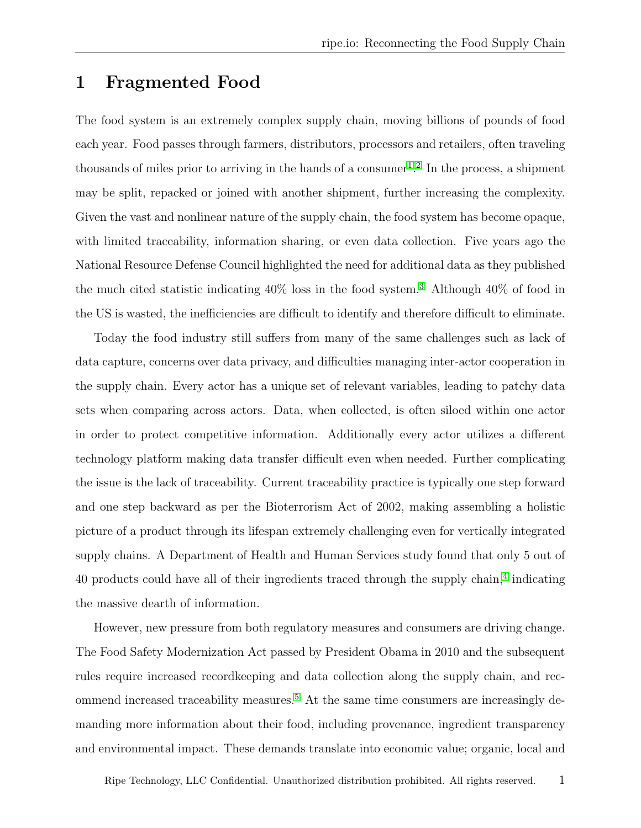### 1 Fragmented Food

The food system is an extremely complex supply chain, moving billions of pounds of food each year. Food passes through farmers, distributors, processors and retailers, often traveling thousands of miles prior to arriving in the hands of a consumer<sup>[1](#page-10-0)</sup>.<sup>[2](#page-10-1)</sup> In the process, a shipment may be split, repacked or joined with another shipment, further increasing the complexity. Given the vast and nonlinear nature of the supply chain, the food system has become opaque, with limited traceability, information sharing, or even data collection. Five years ago the National Resource Defense Council highlighted the need for additional data as they published the much cited statistic indicating  $40\%$  loss in the food system.<sup>[3](#page-10-2)</sup> Although  $40\%$  of food in the US is wasted, the inefficiencies are difficult to identify and therefore difficult to eliminate.

Today the food industry still suffers from many of the same challenges such as lack of data capture, concerns over data privacy, and difficulties managing inter-actor cooperation in the supply chain. Every actor has a unique set of relevant variables, leading to patchy data sets when comparing across actors. Data, when collected, is often siloed within one actor in order to protect competitive information. Additionally every actor utilizes a different technology platform making data transfer difficult even when needed. Further complicating the issue is the lack of traceability. Current traceability practice is typically one step forward and one step backward as per the Bioterrorism Act of 2002, making assembling a holistic picture of a product through its lifespan extremely challenging even for vertically integrated supply chains. A Department of Health and Human Services study found that only 5 out of [4](#page-10-3)0 products could have all of their ingredients traced through the supply chain,<sup>4</sup> indicating the massive dearth of information.

However, new pressure from both regulatory measures and consumers are driving change. The Food Safety Modernization Act passed by President Obama in 2010 and the subsequent rules require increased recordkeeping and data collection along the supply chain, and recommend increased traceability measures.[5](#page-10-4) At the same time consumers are increasingly demanding more information about their food, including provenance, ingredient transparency and environmental impact. These demands translate into economic value; organic, local and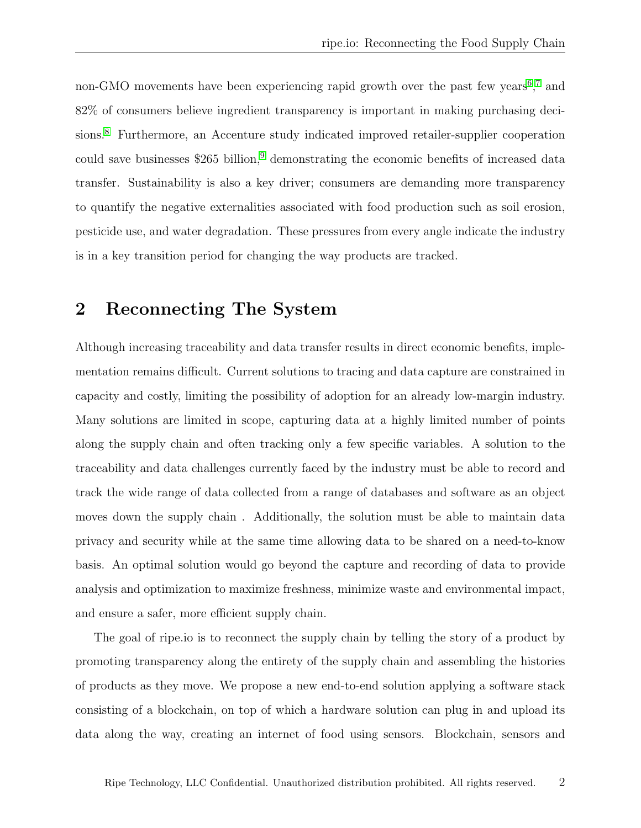non-GMO movements have been experiencing rapid growth over the past few years<sup>[6](#page-10-5)</sup>,<sup>[7](#page-10-6)</sup> and 82% of consumers believe ingredient transparency is important in making purchasing deci-sions.<sup>[8](#page-10-7)</sup> Furthermore, an Accenture study indicated improved retailer-supplier cooperation could save businesses  $$265$  billion,<sup>[9](#page-10-8)</sup> demonstrating the economic benefits of increased data transfer. Sustainability is also a key driver; consumers are demanding more transparency to quantify the negative externalities associated with food production such as soil erosion, pesticide use, and water degradation. These pressures from every angle indicate the industry is in a key transition period for changing the way products are tracked.

### 2 Reconnecting The System

Although increasing traceability and data transfer results in direct economic benefits, implementation remains difficult. Current solutions to tracing and data capture are constrained in capacity and costly, limiting the possibility of adoption for an already low-margin industry. Many solutions are limited in scope, capturing data at a highly limited number of points along the supply chain and often tracking only a few specific variables. A solution to the traceability and data challenges currently faced by the industry must be able to record and track the wide range of data collected from a range of databases and software as an object moves down the supply chain . Additionally, the solution must be able to maintain data privacy and security while at the same time allowing data to be shared on a need-to-know basis. An optimal solution would go beyond the capture and recording of data to provide analysis and optimization to maximize freshness, minimize waste and environmental impact, and ensure a safer, more efficient supply chain.

The goal of ripe.io is to reconnect the supply chain by telling the story of a product by promoting transparency along the entirety of the supply chain and assembling the histories of products as they move. We propose a new end-to-end solution applying a software stack consisting of a blockchain, on top of which a hardware solution can plug in and upload its data along the way, creating an internet of food using sensors. Blockchain, sensors and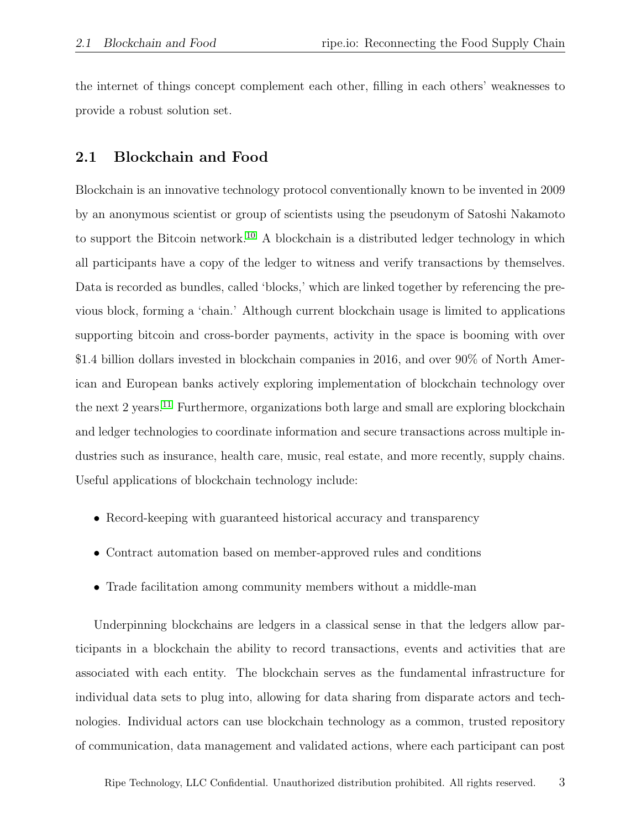the internet of things concept complement each other, filling in each others' weaknesses to provide a robust solution set.

### 2.1 Blockchain and Food

Blockchain is an innovative technology protocol conventionally known to be invented in 2009 by an anonymous scientist or group of scientists using the pseudonym of Satoshi Nakamoto to support the Bitcoin network.<sup>[10](#page-11-0)</sup> A blockchain is a distributed ledger technology in which all participants have a copy of the ledger to witness and verify transactions by themselves. Data is recorded as bundles, called 'blocks,' which are linked together by referencing the previous block, forming a 'chain.' Although current blockchain usage is limited to applications supporting bitcoin and cross-border payments, activity in the space is booming with over \$1.4 billion dollars invested in blockchain companies in 2016, and over 90% of North American and European banks actively exploring implementation of blockchain technology over the next 2 years.<sup>[11](#page-11-1)</sup> Furthermore, organizations both large and small are exploring blockchain and ledger technologies to coordinate information and secure transactions across multiple industries such as insurance, health care, music, real estate, and more recently, supply chains. Useful applications of blockchain technology include:

- Record-keeping with guaranteed historical accuracy and transparency
- Contract automation based on member-approved rules and conditions
- Trade facilitation among community members without a middle-man

Underpinning blockchains are ledgers in a classical sense in that the ledgers allow participants in a blockchain the ability to record transactions, events and activities that are associated with each entity. The blockchain serves as the fundamental infrastructure for individual data sets to plug into, allowing for data sharing from disparate actors and technologies. Individual actors can use blockchain technology as a common, trusted repository of communication, data management and validated actions, where each participant can post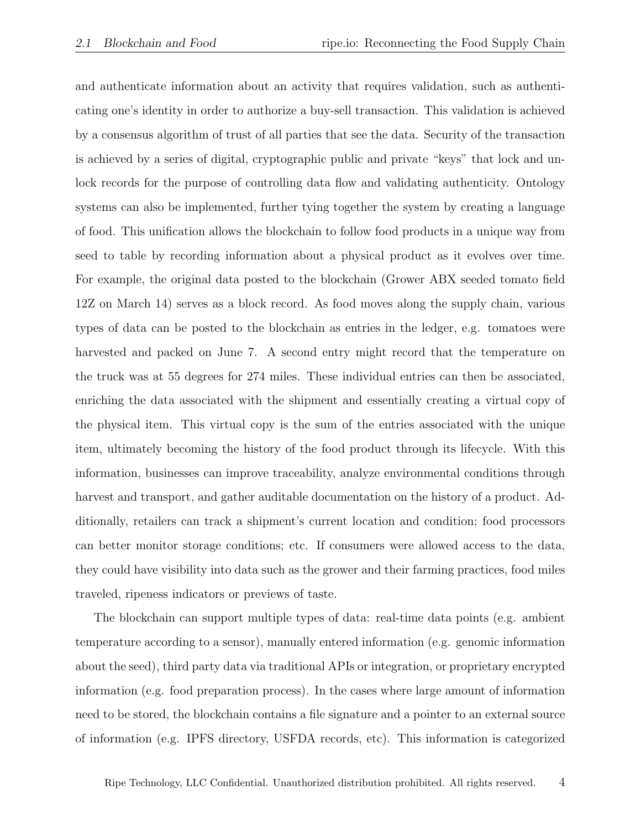and authenticate information about an activity that requires validation, such as authenticating one's identity in order to authorize a buy-sell transaction. This validation is achieved by a consensus algorithm of trust of all parties that see the data. Security of the transaction is achieved by a series of digital, cryptographic public and private "keys" that lock and unlock records for the purpose of controlling data flow and validating authenticity. Ontology systems can also be implemented, further tying together the system by creating a language of food. This unification allows the blockchain to follow food products in a unique way from seed to table by recording information about a physical product as it evolves over time. For example, the original data posted to the blockchain (Grower ABX seeded tomato field 12Z on March 14) serves as a block record. As food moves along the supply chain, various types of data can be posted to the blockchain as entries in the ledger, e.g. tomatoes were harvested and packed on June 7. A second entry might record that the temperature on the truck was at 55 degrees for 274 miles. These individual entries can then be associated, enriching the data associated with the shipment and essentially creating a virtual copy of the physical item. This virtual copy is the sum of the entries associated with the unique item, ultimately becoming the history of the food product through its lifecycle. With this information, businesses can improve traceability, analyze environmental conditions through harvest and transport, and gather auditable documentation on the history of a product. Additionally, retailers can track a shipment's current location and condition; food processors can better monitor storage conditions; etc. If consumers were allowed access to the data, they could have visibility into data such as the grower and their farming practices, food miles traveled, ripeness indicators or previews of taste.

The blockchain can support multiple types of data: real-time data points (e.g. ambient temperature according to a sensor), manually entered information (e.g. genomic information about the seed), third party data via traditional APIs or integration, or proprietary encrypted information (e.g. food preparation process). In the cases where large amount of information need to be stored, the blockchain contains a file signature and a pointer to an external source of information (e.g. IPFS directory, USFDA records, etc). This information is categorized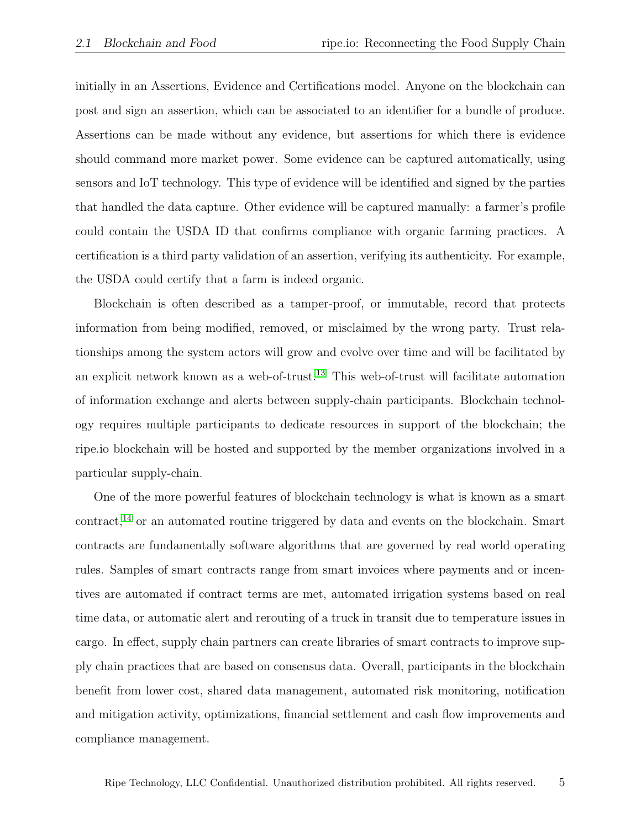initially in an Assertions, Evidence and Certifications model. Anyone on the blockchain can post and sign an assertion, which can be associated to an identifier for a bundle of produce. Assertions can be made without any evidence, but assertions for which there is evidence should command more market power. Some evidence can be captured automatically, using sensors and IoT technology. This type of evidence will be identified and signed by the parties that handled the data capture. Other evidence will be captured manually: a farmer's profile could contain the USDA ID that confirms compliance with organic farming practices. A certification is a third party validation of an assertion, verifying its authenticity. For example, the USDA could certify that a farm is indeed organic.

Blockchain is often described as a tamper-proof, or immutable, record that protects information from being modified, removed, or misclaimed by the wrong party. Trust relationships among the system actors will grow and evolve over time and will be facilitated by an explicit network known as a web-of-trust.[13](#page-11-2) This web-of-trust will facilitate automation of information exchange and alerts between supply-chain participants. Blockchain technology requires multiple participants to dedicate resources in support of the blockchain; the ripe.io blockchain will be hosted and supported by the member organizations involved in a particular supply-chain.

One of the more powerful features of blockchain technology is what is known as a smart contract,<sup>[14](#page-11-3)</sup> or an automated routine triggered by data and events on the blockchain. Smart contracts are fundamentally software algorithms that are governed by real world operating rules. Samples of smart contracts range from smart invoices where payments and or incentives are automated if contract terms are met, automated irrigation systems based on real time data, or automatic alert and rerouting of a truck in transit due to temperature issues in cargo. In effect, supply chain partners can create libraries of smart contracts to improve supply chain practices that are based on consensus data. Overall, participants in the blockchain benefit from lower cost, shared data management, automated risk monitoring, notification and mitigation activity, optimizations, financial settlement and cash flow improvements and compliance management.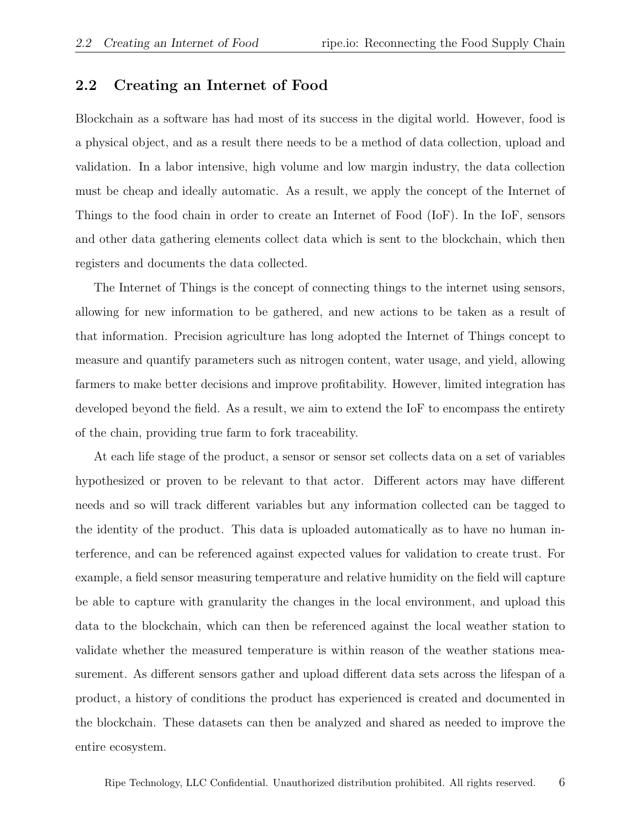### 2.2 Creating an Internet of Food

Blockchain as a software has had most of its success in the digital world. However, food is a physical object, and as a result there needs to be a method of data collection, upload and validation. In a labor intensive, high volume and low margin industry, the data collection must be cheap and ideally automatic. As a result, we apply the concept of the Internet of Things to the food chain in order to create an Internet of Food (IoF). In the IoF, sensors and other data gathering elements collect data which is sent to the blockchain, which then registers and documents the data collected.

The Internet of Things is the concept of connecting things to the internet using sensors, allowing for new information to be gathered, and new actions to be taken as a result of that information. Precision agriculture has long adopted the Internet of Things concept to measure and quantify parameters such as nitrogen content, water usage, and yield, allowing farmers to make better decisions and improve profitability. However, limited integration has developed beyond the field. As a result, we aim to extend the IoF to encompass the entirety of the chain, providing true farm to fork traceability.

At each life stage of the product, a sensor or sensor set collects data on a set of variables hypothesized or proven to be relevant to that actor. Different actors may have different needs and so will track different variables but any information collected can be tagged to the identity of the product. This data is uploaded automatically as to have no human interference, and can be referenced against expected values for validation to create trust. For example, a field sensor measuring temperature and relative humidity on the field will capture be able to capture with granularity the changes in the local environment, and upload this data to the blockchain, which can then be referenced against the local weather station to validate whether the measured temperature is within reason of the weather stations measurement. As different sensors gather and upload different data sets across the lifespan of a product, a history of conditions the product has experienced is created and documented in the blockchain. These datasets can then be analyzed and shared as needed to improve the entire ecosystem.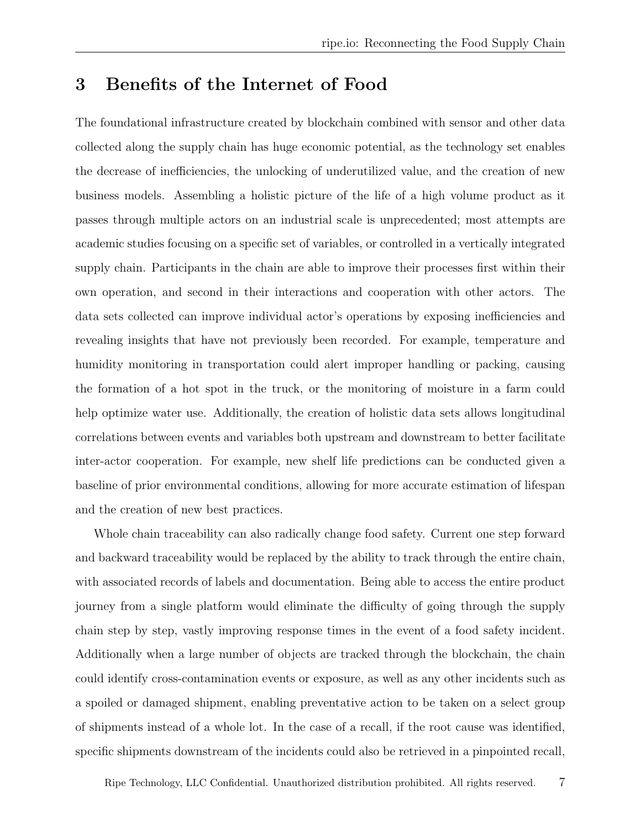### 3 Benefits of the Internet of Food

The foundational infrastructure created by blockchain combined with sensor and other data collected along the supply chain has huge economic potential, as the technology set enables the decrease of inefficiencies, the unlocking of underutilized value, and the creation of new business models. Assembling a holistic picture of the life of a high volume product as it passes through multiple actors on an industrial scale is unprecedented; most attempts are academic studies focusing on a specific set of variables, or controlled in a vertically integrated supply chain. Participants in the chain are able to improve their processes first within their own operation, and second in their interactions and cooperation with other actors. The data sets collected can improve individual actor's operations by exposing inefficiencies and revealing insights that have not previously been recorded. For example, temperature and humidity monitoring in transportation could alert improper handling or packing, causing the formation of a hot spot in the truck, or the monitoring of moisture in a farm could help optimize water use. Additionally, the creation of holistic data sets allows longitudinal correlations between events and variables both upstream and downstream to better facilitate inter-actor cooperation. For example, new shelf life predictions can be conducted given a baseline of prior environmental conditions, allowing for more accurate estimation of lifespan and the creation of new best practices.

Whole chain traceability can also radically change food safety. Current one step forward and backward traceability would be replaced by the ability to track through the entire chain, with associated records of labels and documentation. Being able to access the entire product journey from a single platform would eliminate the difficulty of going through the supply chain step by step, vastly improving response times in the event of a food safety incident. Additionally when a large number of objects are tracked through the blockchain, the chain could identify cross-contamination events or exposure, as well as any other incidents such as a spoiled or damaged shipment, enabling preventative action to be taken on a select group of shipments instead of a whole lot. In the case of a recall, if the root cause was identified, specific shipments downstream of the incidents could also be retrieved in a pinpointed recall,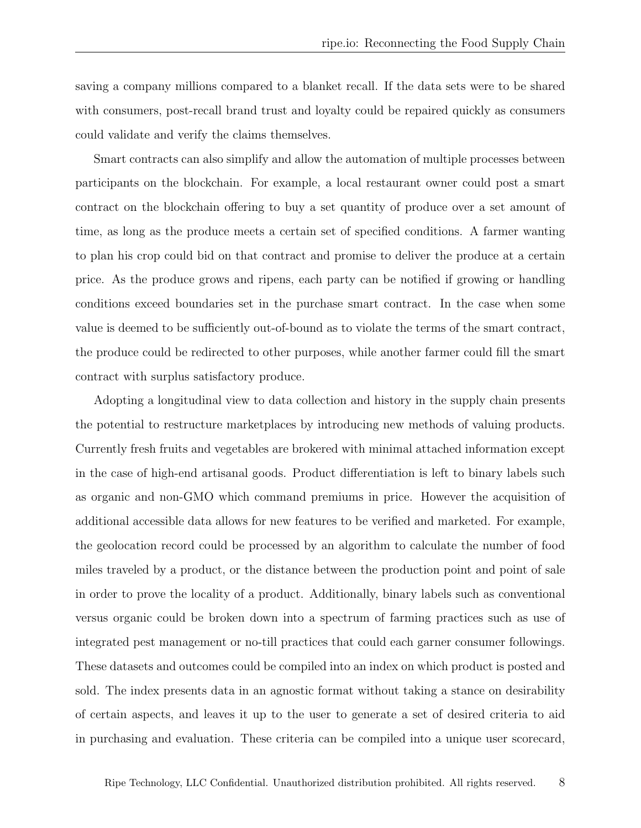saving a company millions compared to a blanket recall. If the data sets were to be shared with consumers, post-recall brand trust and loyalty could be repaired quickly as consumers could validate and verify the claims themselves.

Smart contracts can also simplify and allow the automation of multiple processes between participants on the blockchain. For example, a local restaurant owner could post a smart contract on the blockchain offering to buy a set quantity of produce over a set amount of time, as long as the produce meets a certain set of specified conditions. A farmer wanting to plan his crop could bid on that contract and promise to deliver the produce at a certain price. As the produce grows and ripens, each party can be notified if growing or handling conditions exceed boundaries set in the purchase smart contract. In the case when some value is deemed to be sufficiently out-of-bound as to violate the terms of the smart contract, the produce could be redirected to other purposes, while another farmer could fill the smart contract with surplus satisfactory produce.

Adopting a longitudinal view to data collection and history in the supply chain presents the potential to restructure marketplaces by introducing new methods of valuing products. Currently fresh fruits and vegetables are brokered with minimal attached information except in the case of high-end artisanal goods. Product differentiation is left to binary labels such as organic and non-GMO which command premiums in price. However the acquisition of additional accessible data allows for new features to be verified and marketed. For example, the geolocation record could be processed by an algorithm to calculate the number of food miles traveled by a product, or the distance between the production point and point of sale in order to prove the locality of a product. Additionally, binary labels such as conventional versus organic could be broken down into a spectrum of farming practices such as use of integrated pest management or no-till practices that could each garner consumer followings. These datasets and outcomes could be compiled into an index on which product is posted and sold. The index presents data in an agnostic format without taking a stance on desirability of certain aspects, and leaves it up to the user to generate a set of desired criteria to aid in purchasing and evaluation. These criteria can be compiled into a unique user scorecard,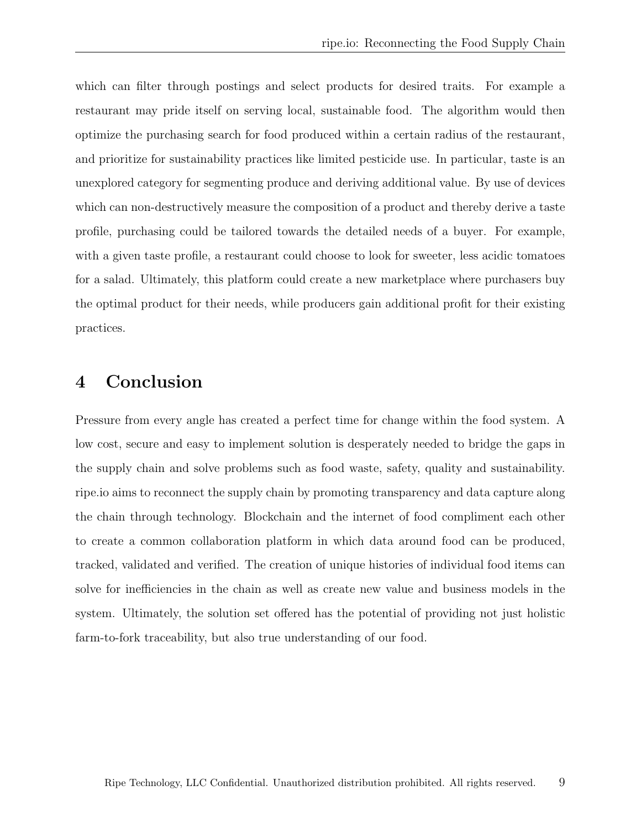which can filter through postings and select products for desired traits. For example a restaurant may pride itself on serving local, sustainable food. The algorithm would then optimize the purchasing search for food produced within a certain radius of the restaurant, and prioritize for sustainability practices like limited pesticide use. In particular, taste is an unexplored category for segmenting produce and deriving additional value. By use of devices which can non-destructively measure the composition of a product and thereby derive a taste profile, purchasing could be tailored towards the detailed needs of a buyer. For example, with a given taste profile, a restaurant could choose to look for sweeter, less acidic tomatoes for a salad. Ultimately, this platform could create a new marketplace where purchasers buy the optimal product for their needs, while producers gain additional profit for their existing practices.

### 4 Conclusion

Pressure from every angle has created a perfect time for change within the food system. A low cost, secure and easy to implement solution is desperately needed to bridge the gaps in the supply chain and solve problems such as food waste, safety, quality and sustainability. ripe.io aims to reconnect the supply chain by promoting transparency and data capture along the chain through technology. Blockchain and the internet of food compliment each other to create a common collaboration platform in which data around food can be produced, tracked, validated and verified. The creation of unique histories of individual food items can solve for inefficiencies in the chain as well as create new value and business models in the system. Ultimately, the solution set offered has the potential of providing not just holistic farm-to-fork traceability, but also true understanding of our food.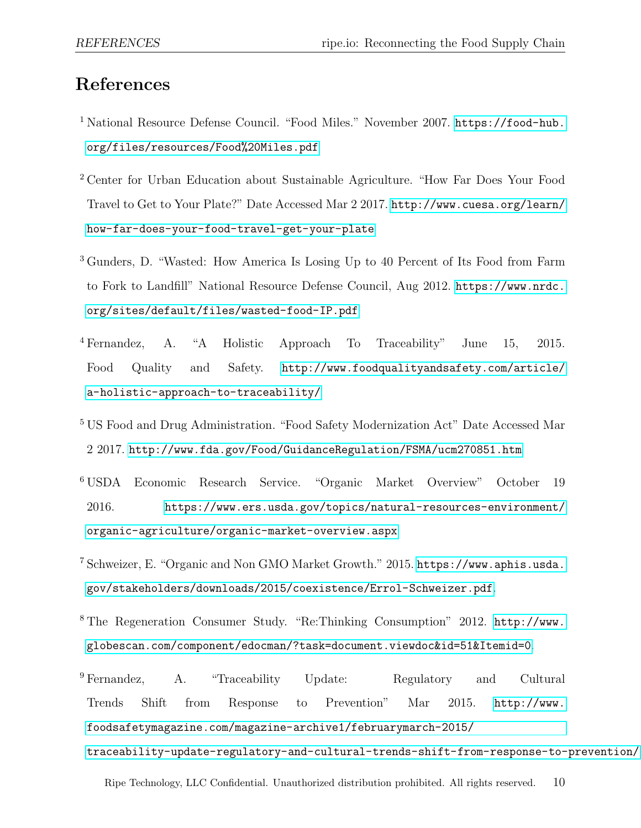## References

- <span id="page-10-0"></span><sup>1</sup> National Resource Defense Council. "Food Miles." November 2007. [https://food-hub.](https://food-hub.org/files/resources/Food%20Miles.pdf) [org/files/resources/Food%20Miles.pdf](https://food-hub.org/files/resources/Food%20Miles.pdf)
- <span id="page-10-1"></span><sup>2</sup> Center for Urban Education about Sustainable Agriculture. "How Far Does Your Food Travel to Get to Your Plate?" Date Accessed Mar 2 2017. [http://www.cuesa.org/learn/](http://www.cuesa.org/learn/how-far-does-your-food-travel-get-your-plate) [how-far-does-your-food-travel-get-your-plate](http://www.cuesa.org/learn/how-far-does-your-food-travel-get-your-plate)
- <span id="page-10-2"></span><sup>3</sup> Gunders, D. "Wasted: How America Is Losing Up to 40 Percent of Its Food from Farm to Fork to Landfill" National Resource Defense Council, Aug 2012. [https://www.nrdc.](https://www.nrdc.org/sites/default/files/wasted-food-IP.pdf) [org/sites/default/files/wasted-food-IP.pdf](https://www.nrdc.org/sites/default/files/wasted-food-IP.pdf)
- <span id="page-10-3"></span><sup>4</sup> Fernandez, A. "A Holistic Approach To Traceability" June 15, 2015. Food Quality and Safety. [http://www.foodqualityandsafety.com/article/](http://www.foodqualityandsafety.com/article/a-holistic-approach-to-traceability/) [a-holistic-approach-to-traceability/](http://www.foodqualityandsafety.com/article/a-holistic-approach-to-traceability/)
- <span id="page-10-4"></span><sup>5</sup> US Food and Drug Administration. "Food Safety Modernization Act" Date Accessed Mar 2 2017. <http://www.fda.gov/Food/GuidanceRegulation/FSMA/ucm270851.htm>
- <span id="page-10-5"></span><sup>6</sup> USDA Economic Research Service. "Organic Market Overview" October 19 2016. [https://www.ers.usda.gov/topics/natural-resources-environment/](https://www.ers.usda.gov/topics/natural-resources-environment/organic-agriculture/organic-market-overview.aspx) [organic-agriculture/organic-market-overview.aspx](https://www.ers.usda.gov/topics/natural-resources-environment/organic-agriculture/organic-market-overview.aspx)
- <span id="page-10-6"></span><sup>7</sup> Schweizer, E. "Organic and Non GMO Market Growth." 2015. [https://www.aphis.usda.](https://www.aphis.usda.gov/stakeholders/downloads/2015/coexistence/Errol-Schweizer.pdf) [gov/stakeholders/downloads/2015/coexistence/Errol-Schweizer.pdf](https://www.aphis.usda.gov/stakeholders/downloads/2015/coexistence/Errol-Schweizer.pdf).
- <span id="page-10-7"></span><sup>8</sup> The Regeneration Consumer Study. "Re:Thinking Consumption" 2012. [http://www.](http://www.globescan.com/component/edocman/?task=document.viewdoc&id=51&Itemid=0) [globescan.com/component/edocman/?task=document.viewdoc&id=51&Itemid=0](http://www.globescan.com/component/edocman/?task=document.viewdoc&id=51&Itemid=0).
- <span id="page-10-8"></span><sup>9</sup> Fernandez, A. "Traceability Update: Regulatory and Cultural Trends Shift from Response to Prevention" Mar 2015. [http://www.](http://www.foodsafetymagazine.com/magazine-archive1/februarymarch-2015/traceability-update-regulatory-and-cultural-trends-shift-from-response-to-prevention/) [foodsafetymagazine.com/magazine-archive1/februarymarch-2015/](http://www.foodsafetymagazine.com/magazine-archive1/februarymarch-2015/traceability-update-regulatory-and-cultural-trends-shift-from-response-to-prevention/) [traceability-update-regulatory-and-cultural-trends-shift-from-response-to-prevention/](http://www.foodsafetymagazine.com/magazine-archive1/februarymarch-2015/traceability-update-regulatory-and-cultural-trends-shift-from-response-to-prevention/).